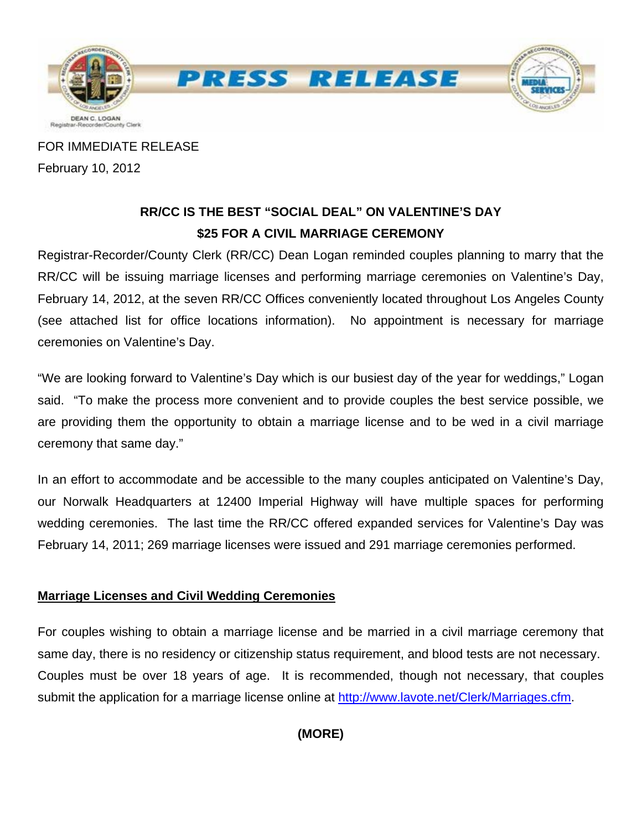

FOR IMMEDIATE RELEASE February 10, 2012

# **RR/CC IS THE BEST "SOCIAL DEAL" ON VALENTINE'S DAY \$25 FOR A CIVIL MARRIAGE CEREMONY**

Registrar-Recorder/County Clerk (RR/CC) Dean Logan reminded couples planning to marry that the RR/CC will be issuing marriage licenses and performing marriage ceremonies on Valentine's Day, February 14, 2012, at the seven RR/CC Offices conveniently located throughout Los Angeles County (see attached list for office locations information). No appointment is necessary for marriage ceremonies on Valentine's Day.

"We are looking forward to Valentine's Day which is our busiest day of the year for weddings," Logan said. "To make the process more convenient and to provide couples the best service possible, we are providing them the opportunity to obtain a marriage license and to be wed in a civil marriage ceremony that same day."

In an effort to accommodate and be accessible to the many couples anticipated on Valentine's Day, our Norwalk Headquarters at 12400 Imperial Highway will have multiple spaces for performing wedding ceremonies. The last time the RR/CC offered expanded services for Valentine's Day was February 14, 2011; 269 marriage licenses were issued and 291 marriage ceremonies performed.

## **Marriage Licenses and Civil Wedding Ceremonies**

For couples wishing to obtain a marriage license and be married in a civil marriage ceremony that same day, there is no residency or citizenship status requirement, and blood tests are not necessary. Couples must be over 18 years of age. It is recommended, though not necessary, that couples submit the application for a marriage license online at [http://www.lavote.net/Clerk/Marriages.cfm.](http://www.lavote.net/Clerk/Marriages.cfm)

**(MORE)**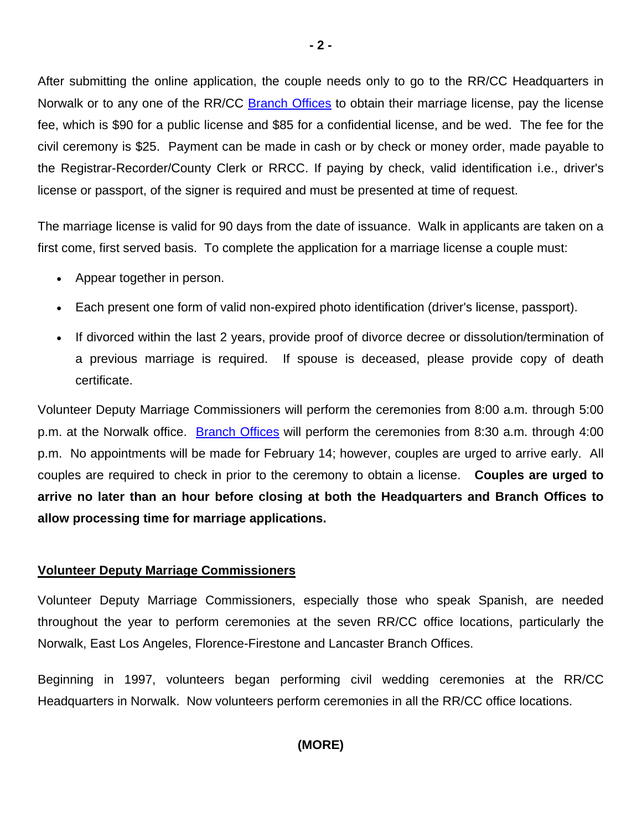After submitting the online application, the couple needs only to go to the RR/CC Headquarters in Norwalk or to any one of the RR/CC **[Branch Offices](http://www.lavote.net/Clerk/Marriages.cfm)** to obtain their marriage license, pay the license fee, which is \$90 for a public license and \$85 for a confidential license, and be wed. The fee for the civil ceremony is \$25. Payment can be made in cash or by check or money order, made payable to the Registrar-Recorder/County Clerk or RRCC. If paying by check, valid identification i.e., driver's license or passport, of the signer is required and must be presented at time of request.

The marriage license is valid for 90 days from the date of issuance. Walk in applicants are taken on a first come, first served basis. To complete the application for a marriage license a couple must:

- Appear together in person.
- Each present one form of valid non-expired photo identification (driver's license, passport).
- If divorced within the last 2 years, provide proof of divorce decree or dissolution/termination of a previous marriage is required. If spouse is deceased, please provide copy of death certificate.

Volunteer Deputy Marriage Commissioners will perform the ceremonies from 8:00 a.m. through 5:00 p.m. at the Norwalk office. **[Branch Offices](http://www.lavote.net/Clerk/Marriages.cfm)** will perform the ceremonies from 8:30 a.m. through 4:00 p.m. No appointments will be made for February 14; however, couples are urged to arrive early. All couples are required to check in prior to the ceremony to obtain a license. **Couples are urged to arrive no later than an hour before closing at both the Headquarters and Branch Offices to allow processing time for marriage applications.** 

## **Volunteer Deputy Marriage Commissioners**

Volunteer Deputy Marriage Commissioners, especially those who speak Spanish, are needed throughout the year to perform ceremonies at the seven RR/CC office locations, particularly the Norwalk, East Los Angeles, Florence-Firestone and Lancaster Branch Offices.

Beginning in 1997, volunteers began performing civil wedding ceremonies at the RR/CC Headquarters in Norwalk. Now volunteers perform ceremonies in all the RR/CC office locations.

## **(MORE)**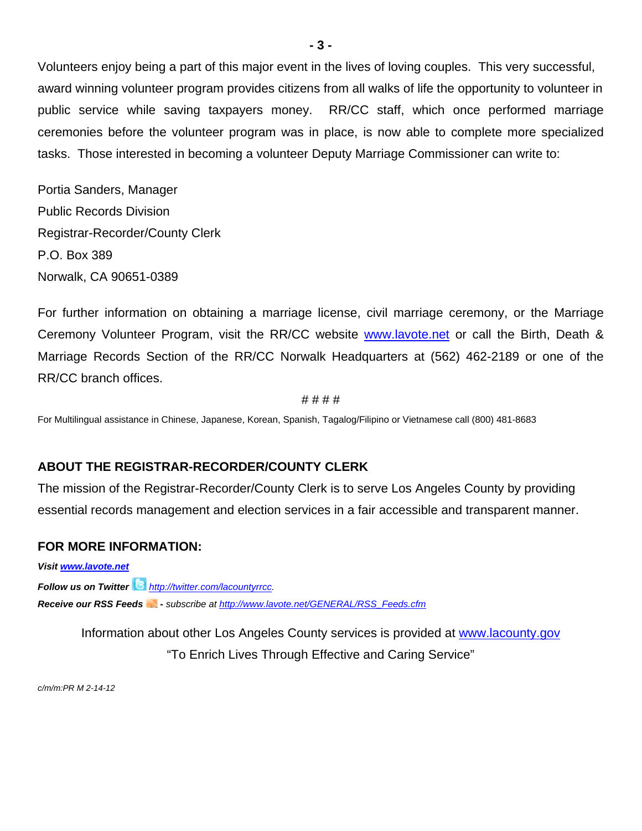Volunteers enjoy being a part of this major event in the lives of loving couples. This very successful, award winning volunteer program provides citizens from all walks of life the opportunity to volunteer in public service while saving taxpayers money. RR/CC staff, which once performed marriage ceremonies before the volunteer program was in place, is now able to complete more specialized tasks. Those interested in becoming a volunteer Deputy Marriage Commissioner can write to:

Portia Sanders, Manager Public Records Division Registrar-Recorder/County Clerk P.O. Box 389 Norwalk, CA 90651-0389

For further information on obtaining a marriage license, civil marriage ceremony, or the Marriage Ceremony Volunteer Program, visit the RR/CC website [www.lavote.net](http://www.lavote.net/) or call the Birth, Death & Marriage Records Section of the RR/CC Norwalk Headquarters at (562) 462-2189 or one of the RR/CC branch offices.

#### # # # #

For Multilingual assistance in Chinese, Japanese, Korean, Spanish, Tagalog/Filipino or Vietnamese call (800) 481-8683

## **ABOUT THE REGISTRAR-RECORDER/COUNTY CLERK**

The mission of the Registrar-Recorder/County Clerk is to serve Los Angeles County by providing essential records management and election services in a fair accessible and transparent manner.

### **FOR MORE INFORMATION:**

*Visit [www.lavote.net](http://www.lavote.net/)*

*Follow us on Twitter <http://twitter.com/lacountyrrcc>. Receive our RSS Feeds - subscribe at [http://www.lavote.net/GENERAL/RSS\\_Feeds.cfm](http://www.lavote.net/GENERAL/RSS_Feeds.cfm)* 

> Information about other Los Angeles County services is provided at [www.lacounty.gov](http://www.lacounty.gov/) "To Enrich Lives Through Effective and Caring Service"

*c/m/m:PR M 2-14-12*